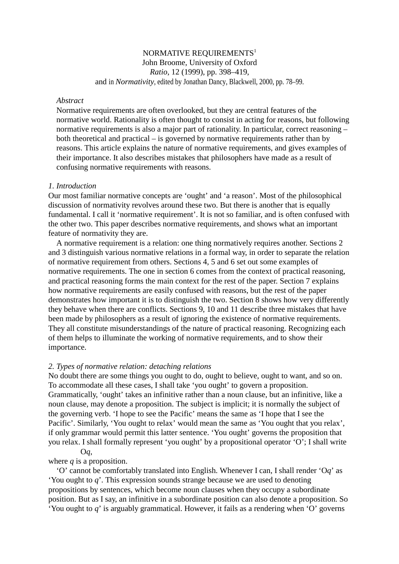# NORMATIVE REQUIREMENTS<sup>1</sup> John Broome, University of Oxford *Ratio*, 12 (1999), pp. 398–419, and in *Normativity*, edited by Jonathan Dancy, Blackwell, 2000, pp. 78–99.

# *Abstract*

Normative requirements are often overlooked, but they are central features of the normative world. Rationality is often thought to consist in acting for reasons, but following normative requirements is also a major part of rationality. In particular, correct reasoning – both theoretical and practical – is governed by normative requirements rather than by reasons. This article explains the nature of normative requirements, and gives examples of their importance. It also describes mistakes that philosophers have made as a result of confusing normative requirements with reasons.

### *1. Introduction*

Our most familiar normative concepts are 'ought' and 'a reason'. Most of the philosophical discussion of normativity revolves around these two. But there is another that is equally fundamental. I call it 'normative requirement'. It is not so familiar, and is often confused with the other two. This paper describes normative requirements, and shows what an important feature of normativity they are.

A normative requirement is a relation: one thing normatively requires another. Sections 2 and 3 distinguish various normative relations in a formal way, in order to separate the relation of normative requirement from others. Sections 4, 5 and 6 set out some examples of normative requirements. The one in section 6 comes from the context of practical reasoning, and practical reasoning forms the main context for the rest of the paper. Section 7 explains how normative requirements are easily confused with reasons, but the rest of the paper demonstrates how important it is to distinguish the two. Section 8 shows how very differently they behave when there are conflicts. Sections 9, 10 and 11 describe three mistakes that have been made by philosophers as a result of ignoring the existence of normative requirements. They all constitute misunderstandings of the nature of practical reasoning. Recognizing each of them helps to illuminate the working of normative requirements, and to show their importance.

#### *2. Types of normative relation: detaching relations*

No doubt there are some things you ought to do, ought to believe, ought to want, and so on. To accommodate all these cases, I shall take 'you ought' to govern a proposition. Grammatically, 'ought' takes an infinitive rather than a noun clause, but an infinitive, like a noun clause, may denote a proposition. The subject is implicit; it is normally the subject of the governing verb. 'I hope to see the Pacific' means the same as 'I hope that I see the Pacific'. Similarly, 'You ought to relax' would mean the same as 'You ought that you relax', if only grammar would permit this latter sentence. 'You ought' governs the proposition that you relax. I shall formally represent 'you ought' by a propositional operator 'O'; I shall write O*q*,

where *q* is a proposition.

'O' cannot be comfortably translated into English. Whenever I can, I shall render 'O*q*' as 'You ought to *q*'. This expression sounds strange because we are used to denoting propositions by sentences, which become noun clauses when they occupy a subordinate position. But as I say, an infinitive in a subordinate position can also denote a proposition. So 'You ought to *q*' is arguably grammatical. However, it fails as a rendering when 'O' governs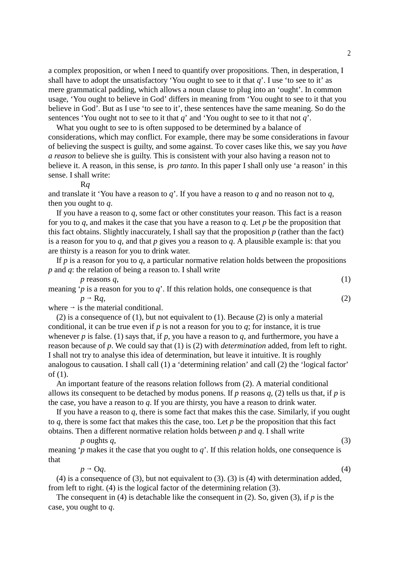a complex proposition, or when I need to quantify over propositions. Then, in desperation, I shall have to adopt the unsatisfactory 'You ought to see to it that *q*'. I use 'to see to it' as mere grammatical padding, which allows a noun clause to plug into an 'ought'. In common usage, 'You ought to believe in God' differs in meaning from 'You ought to see to it that you believe in God'. But as I use 'to see to it', these sentences have the same meaning. So do the sentences 'You ought not to see to it that *q*' and 'You ought to see to it that not *q*'.

What you ought to see to is often supposed to be determined by a balance of considerations, which may conflict. For example, there may be some considerations in favour of believing the suspect is guilty, and some against. To cover cases like this, we say you *have a reason* to believe she is guilty. This is consistent with your also having a reason not to believe it. A reason, in this sense, is *pro tanto*. In this paper I shall only use 'a reason' in this sense. I shall write:

#### R*q*

and translate it 'You have a reason to *q*'. If you have a reason to *q* and no reason not to *q*, then you ought to *q*.

If you have a reason to *q*, some fact or other constitutes your reason. This fact is a reason for you to *q*, and makes it the case that you have a reason to *q*. Let *p* be the proposition that this fact obtains. Slightly inaccurately, I shall say that the proposition *p* (rather than the fact) is a reason for you to *q*, and that *p* gives you a reason to *q*. A plausible example is: that you are thirsty is a reason for you to drink water.

If  $p$  is a reason for you to  $q$ , a particular normative relation holds between the propositions *p* and *q*: the relation of being a reason to. I shall write

 $p$  reasons  $q$ , (1)

meaning '*p* is a reason for you to *q*'. If this relation holds, one consequence is that  $p \rightarrow Rq$ , (2)

where  $\rightarrow$  is the material conditional.

(2) is a consequence of (1), but not equivalent to (1). Because (2) is only a material conditional, it can be true even if *p* is not a reason for you to *q*; for instance, it is true whenever *p* is false. (1) says that, if *p*, you have a reason to *q*, and furthermore, you have a reason because of *p*. We could say that (1) is (2) with *determination* added, from left to right. I shall not try to analyse this idea of determination, but leave it intuitive. It is roughly analogous to causation. I shall call (1) a 'determining relation' and call (2) the 'logical factor' of (1).

An important feature of the reasons relation follows from (2). A material conditional allows its consequent to be detached by modus ponens. If  $p$  reasons  $q$ , (2) tells us that, if  $p$  is the case, you have a reason to *q*. If you are thirsty, you have a reason to drink water.

If you have a reason to *q*, there is some fact that makes this the case. Similarly, if you ought to *q*, there is some fact that makes this the case, too. Let *p* be the proposition that this fact obtains. Then a different normative relation holds between *p* and *q*. I shall write

 $p \text{ oughts } q$ , (3) meaning '*p* makes it the case that you ought to *q*'. If this relation holds, one consequence is that

 $p \rightarrow Qq.$  (4)

(4) is a consequence of (3), but not equivalent to (3). (3) is (4) with determination added, from left to right. (4) is the logical factor of the determining relation (3).

The consequent in (4) is detachable like the consequent in (2). So, given (3), if *p* is the case, you ought to *q*.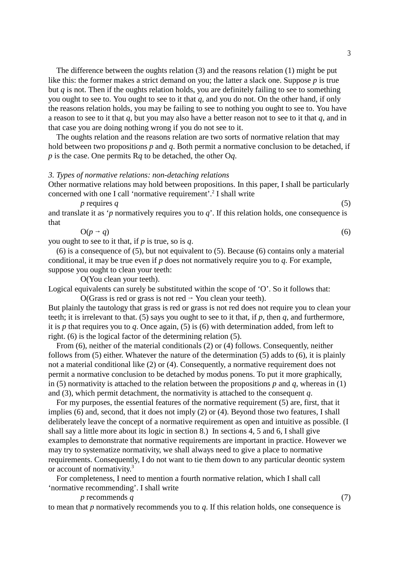The difference between the oughts relation (3) and the reasons relation (1) might be put like this: the former makes a strict demand on you; the latter a slack one. Suppose *p* is true but *q* is not. Then if the oughts relation holds, you are definitely failing to see to something you ought to see to. You ought to see to it that *q*, and you do not. On the other hand, if only the reasons relation holds, you may be failing to see to nothing you ought to see to. You have a reason to see to it that *q*, but you may also have a better reason not to see to it that *q*, and in that case you are doing nothing wrong if you do not see to it.

The oughts relation and the reasons relation are two sorts of normative relation that may hold between two propositions *p* and *q*. Both permit a normative conclusion to be detached, if *p* is the case. One permits R*q* to be detached, the other O*q*.

# *3. Types of normative relations: non-detaching relations*

Other normative relations may hold between propositions. In this paper, I shall be particularly concerned with one I call 'normative requirement'.<sup>2</sup> I shall write

 $p$  requires  $q$  (5)

and translate it as '*p* normatively requires you to *q*'. If this relation holds, one consequence is that

$$
O(p \to q) \tag{6}
$$

you ought to see to it that, if *p* is true, so is *q*.

(6) is a consequence of (5), but not equivalent to (5). Because (6) contains only a material conditional, it may be true even if *p* does not normatively require you to *q*. For example, suppose you ought to clean your teeth:

O(You clean your teeth).

Logical equivalents can surely be substituted within the scope of 'O'. So it follows that:

O(Grass is red or grass is not red  $\rightarrow$  You clean your teeth).

But plainly the tautology that grass is red or grass is not red does not require you to clean your teeth; it is irrelevant to that. (5) says you ought to see to it that, if  $p$ , then  $q$ , and furthermore, it is *p* that requires you to *q*. Once again, (5) is (6) with determination added, from left to right. (6) is the logical factor of the determining relation (5).

From (6), neither of the material conditionals (2) or (4) follows. Consequently, neither follows from (5) either. Whatever the nature of the determination (5) adds to (6), it is plainly not a material conditional like (2) or (4). Consequently, a normative requirement does not permit a normative conclusion to be detached by modus ponens. To put it more graphically, in (5) normativity is attached to the relation between the propositions  $p$  and  $q$ , whereas in (1) and (3), which permit detachment, the normativity is attached to the consequent *q*.

For my purposes, the essential features of the normative requirement (5) are, first, that it implies (6) and, second, that it does not imply (2) or (4). Beyond those two features, I shall deliberately leave the concept of a normative requirement as open and intuitive as possible. (I shall say a little more about its logic in section 8.) In sections 4, 5 and 6, I shall give examples to demonstrate that normative requirements are important in practice. However we may try to systematize normativity, we shall always need to give a place to normative requirements. Consequently, I do not want to tie them down to any particular deontic system or account of normativity.<sup>3</sup>

For completeness, I need to mention a fourth normative relation, which I shall call 'normative recommending'. I shall write

*p* recommends *q* (7)

to mean that *p* normatively recommends you to *q*. If this relation holds, one consequence is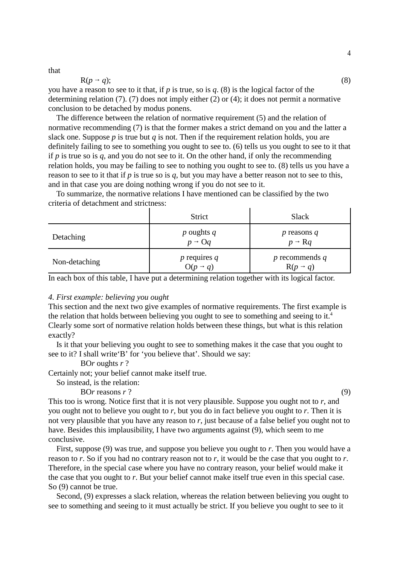that

$$
R(p \rightarrow q);
$$
  
you have a reason to see to it that, if p is true, so is q. (8) is the logical factor of the

determining relation (7). (7) does not imply either (2) or (4); it does not permit a normative conclusion to be detached by modus ponens.

The difference between the relation of normative requirement (5) and the relation of normative recommending (7) is that the former makes a strict demand on you and the latter a slack one. Suppose *p* is true but *q* is not. Then if the requirement relation holds, you are definitely failing to see to something you ought to see to. (6) tells us you ought to see to it that if  $p$  is true so is  $q$ , and you do not see to it. On the other hand, if only the recommending relation holds, you may be failing to see to nothing you ought to see to. (8) tells us you have a reason to see to it that if *p* is true so is *q*, but you may have a better reason not to see to this, and in that case you are doing nothing wrong if you do not see to it.

To summarize, the normative relations I have mentioned can be classified by the two criteria of detachment and strictness:

|               | Strict                                   | Slack                                      |
|---------------|------------------------------------------|--------------------------------------------|
| Detaching     | $p$ oughts $q$<br>$p \rightarrow Qq$     | $p$ reasons $q$<br>$p \rightarrow Rq$      |
| Non-detaching | $p$ requires $q$<br>$O(p \rightarrow q)$ | $p$ recommends $q$<br>$R(p \rightarrow q)$ |

In each box of this table, I have put a determining relation together with its logical factor.

## *4. First example: believing you ought*

This section and the next two give examples of normative requirements. The first example is the relation that holds between believing you ought to see to something and seeing to it.<sup>4</sup> Clearly some sort of normative relation holds between these things, but what is this relation exactly?

Is it that your believing you ought to see to something makes it the case that you ought to see to it? I shall write'B' for 'you believe that'. Should we say:

BO*r* oughts *r* ?

Certainly not; your belief cannot make itself true.

So instead, is the relation:

BO $r$  reasons  $r$  ? (9)

This too is wrong. Notice first that it is not very plausible. Suppose you ought not to *r*, and you ought not to believe you ought to *r*, but you do in fact believe you ought to *r*. Then it is not very plausible that you have any reason to *r*, just because of a false belief you ought not to have. Besides this implausibility, I have two arguments against (9), which seem to me conclusive.

First, suppose (9) was true, and suppose you believe you ought to *r*. Then you would have a reason to *r*. So if you had no contrary reason not to *r*, it would be the case that you ought to *r*. Therefore, in the special case where you have no contrary reason, your belief would make it the case that you ought to *r*. But your belief cannot make itself true even in this special case. So (9) cannot be true.

Second, (9) expresses a slack relation, whereas the relation between believing you ought to see to something and seeing to it must actually be strict. If you believe you ought to see to it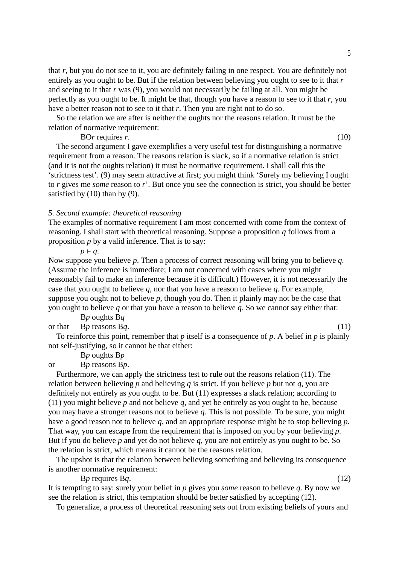that *r*, but you do not see to it, you are definitely failing in one respect. You are definitely not entirely as you ought to be. But if the relation between believing you ought to see to it that *r* and seeing to it that *r* was (9), you would not necessarily be failing at all. You might be perfectly as you ought to be. It might be that, though you have a reason to see to it that *r*, you have a better reason not to see to it that *r*. Then you are right not to do so.

So the relation we are after is neither the oughts nor the reasons relation. It must be the relation of normative requirement:

BO*r* requires *r*. (10)

The second argument I gave exemplifies a very useful test for distinguishing a normative requirement from a reason. The reasons relation is slack, so if a normative relation is strict (and it is not the oughts relation) it must be normative requirement. I shall call this the 'strictness test'. (9) may seem attractive at first; you might think 'Surely my believing I ought to *r* gives me *some* reason to *r*'. But once you see the connection is strict, you should be better satisfied by  $(10)$  than by  $(9)$ .

# *5. Second example: theoretical reasoning*

The examples of normative requirement I am most concerned with come from the context of reasoning. I shall start with theoretical reasoning. Suppose a proposition *q* follows from a proposition *p* by a valid inference. That is to say:

 $p \vdash q$ .

Now suppose you believe *p*. Then a process of correct reasoning will bring you to believe *q*. (Assume the inference is immediate; I am not concerned with cases where you might reasonably fail to make an inference because it is difficult.) However, it is not necessarily the case that you ought to believe *q*, nor that you have a reason to believe *q*. For example, suppose you ought not to believe *p*, though you do. Then it plainly may not be the case that you ought to believe *q* or that you have a reason to believe *q*. So we cannot say either that:

B*p* oughts B*q*

or that B*p* reasons B*q*. (11)

To reinforce this point, remember that *p* itself is a consequence of *p*. A belief in *p* is plainly not self-justifying, so it cannot be that either:

B*p* oughts B*p*

or B*p* reasons B*p*.

Furthermore, we can apply the strictness test to rule out the reasons relation (11). The relation between believing  $p$  and believing  $q$  is strict. If you believe  $p$  but not  $q$ , you are definitely not entirely as you ought to be. But (11) expresses a slack relation; according to (11) you might believe *p* and not believe *q*, and yet be entirely as you ought to be, because you may have a stronger reasons not to believe *q*. This is not possible. To be sure, you might have a good reason not to believe *q*, and an appropriate response might be to stop believing *p*. That way, you can escape from the requirement that is imposed on you by your believing *p*. But if you do believe *p* and yet do not believe *q*, you are not entirely as you ought to be. So the relation is strict, which means it cannot be the reasons relation.

The upshot is that the relation between believing something and believing its consequence is another normative requirement:

B*p* requires B*q*. (12)

It is tempting to say: surely your belief in *p* gives you *some* reason to believe *q*. By now we see the relation is strict, this temptation should be better satisfied by accepting (12).

To generalize, a process of theoretical reasoning sets out from existing beliefs of yours and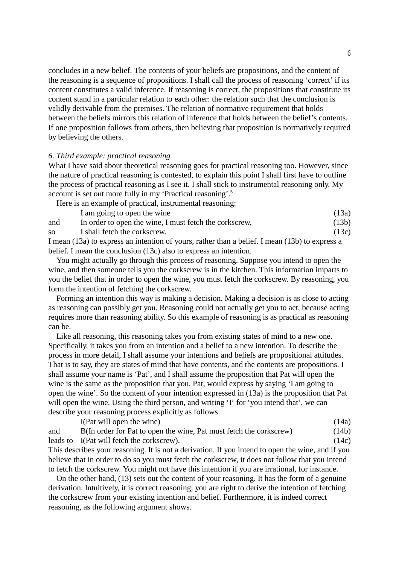concludes in a new belief. The contents of your beliefs are propositions, and the content of the reasoning is a sequence of propositions. I shall call the process of reasoning 'correct' if its content constitutes a valid inference. If reasoning is correct, the propositions that constitute its content stand in a particular relation to each other: the relation such that the conclusion is validly derivable from the premises. The relation of normative requirement that holds between the beliefs mirrors this relation of inference that holds between the belief's contents. If one proposition follows from others, then believing that proposition is normatively required by believing the others.

### *6. Third example: practical reasoning*

What I have said about theoretical reasoning goes for practical reasoning too. However, since the nature of practical reasoning is contested, to explain this point I shall first have to outline the process of practical reasoning as I see it. I shall stick to instrumental reasoning only. My account is set out more fully in my 'Practical reasoning'. 5

Here is an example of practical, instrumental reasoning:

|     | I am going to open the wine                            | (13a) |  |
|-----|--------------------------------------------------------|-------|--|
| and | In order to open the wine, I must fetch the corkscrew, | (13b) |  |

so I shall fetch the corkscrew. (13c)

I mean (13a) to express an intention of yours, rather than a belief. I mean (13b) to express a belief. I mean the conclusion (13c) also to express an intention.

You might actually go through this process of reasoning. Suppose you intend to open the wine, and then someone tells you the corkscrew is in the kitchen. This information imparts to you the belief that in order to open the wine, you must fetch the corkscrew. By reasoning, you form the intention of fetching the corkscrew.

Forming an intention this way is making a decision. Making a decision is as close to acting as reasoning can possibly get you. Reasoning could not actually get you to act, because acting requires more than reasoning ability. So this example of reasoning is as practical as reasoning can be.

Like all reasoning, this reasoning takes you from existing states of mind to a new one. Specifically, it takes you from an intention and a belief to a new intention. To describe the process in more detail, I shall assume your intentions and beliefs are propositional attitudes. That is to say, they are states of mind that have contents, and the contents are propositions. I shall assume your name is 'Pat', and I shall assume the proposition that Pat will open the wine is the same as the proposition that you, Pat, would express by saying 'I am going to open the wine'. So the content of your intention expressed in (13a) is the proposition that Pat will open the wine. Using the third person, and writing 'I' for 'you intend that', we can describe your reasoning process explicitly as follows:

I(Pat will open the wine)  $(14a)$ 

and B(In order for Pat to open the wine, Pat must fetch the corkscrew) (14b) leads to I(Pat will fetch the corkscrew). (14c)

This describes your reasoning. It is not a derivation. If you intend to open the wine, and if you believe that in order to do so you must fetch the corkscrew, it does not follow that you intend to fetch the corkscrew. You might not have this intention if you are irrational, for instance.

On the other hand, (13) sets out the content of your reasoning. It has the form of a genuine derivation. Intuitively, it is correct reasoning; you are right to derive the intention of fetching the corkscrew from your existing intention and belief. Furthermore, it is indeed correct reasoning, as the following argument shows.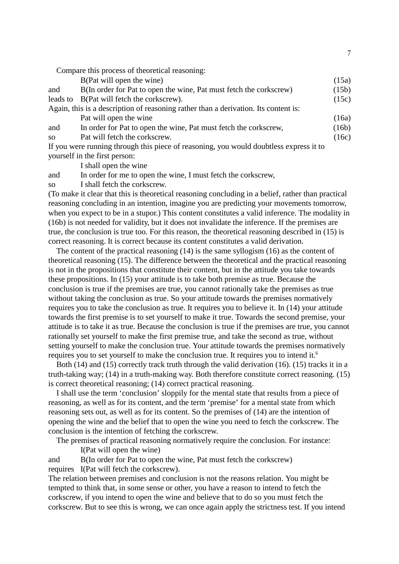|                 | Compare this process of theoretical reasoning:                                         |       |
|-----------------|----------------------------------------------------------------------------------------|-------|
|                 | B(Pat will open the wine)                                                              | (15a) |
| and             | B(In order for Pat to open the wine, Pat must fetch the corkscrew)                     | (15b) |
|                 | leads to B(Pat will fetch the corkscrew).                                              |       |
|                 | Again, this is a description of reasoning rather than a derivation. Its content is:    |       |
|                 | Pat will open the wine                                                                 | (16a) |
| and             | In order for Pat to open the wine, Pat must fetch the corkscrew,                       | (16b) |
| SO <sub>2</sub> | Pat will fetch the corkscrew.                                                          | (16c) |
|                 | If you were running through this piece of reasoning, you would doubtless express it to |       |
|                 | yourself in the first person:                                                          |       |

I shall open the wine

and In order for me to open the wine, I must fetch the corkscrew,

so I shall fetch the corkscrew.

(To make it clear that this is theoretical reasoning concluding in a belief, rather than practical reasoning concluding in an intention, imagine you are predicting your movements tomorrow, when you expect to be in a stupor.) This content constitutes a valid inference. The modality in (16b) is not needed for validity, but it does not invalidate the inference. If the premises are true, the conclusion is true too. For this reason, the theoretical reasoning described in (15) is correct reasoning. It is correct because its content constitutes a valid derivation.

The content of the practical reasoning (14) is the same syllogism (16) as the content of theoretical reasoning (15). The difference between the theoretical and the practical reasoning is not in the propositions that constitute their content, but in the attitude you take towards these propositions. In (15) your attitude is to take both premise as true. Because the conclusion is true if the premises are true, you cannot rationally take the premises as true without taking the conclusion as true. So your attitude towards the premises normatively requires you to take the conclusion as true. It requires you to believe it. In (14) your attitude towards the first premise is to set yourself to make it true. Towards the second premise, your attitude is to take it as true. Because the conclusion is true if the premises are true, you cannot rationally set yourself to make the first premise true, and take the second as true, without setting yourself to make the conclusion true. Your attitude towards the premises normatively requires you to set yourself to make the conclusion true. It requires you to intend it.<sup>6</sup>

Both (14) and (15) correctly track truth through the valid derivation (16). (15) tracks it in a truth-taking way; (14) in a truth-making way. Both therefore constitute correct reasoning. (15) is correct theoretical reasoning; (14) correct practical reasoning.

I shall use the term 'conclusion' sloppily for the mental state that results from a piece of reasoning, as well as for its content, and the term 'premise' for a mental state from which reasoning sets out, as well as for its content. So the premises of (14) are the intention of opening the wine and the belief that to open the wine you need to fetch the corkscrew. The conclusion is the intention of fetching the corkscrew.

The premises of practical reasoning normatively require the conclusion. For instance:

I(Pat will open the wine)

and B(In order for Pat to open the wine, Pat must fetch the corkscrew) requires I(Pat will fetch the corkscrew).

The relation between premises and conclusion is not the reasons relation. You might be tempted to think that, in some sense or other, you have a reason to intend to fetch the corkscrew, if you intend to open the wine and believe that to do so you must fetch the corkscrew. But to see this is wrong, we can once again apply the strictness test. If you intend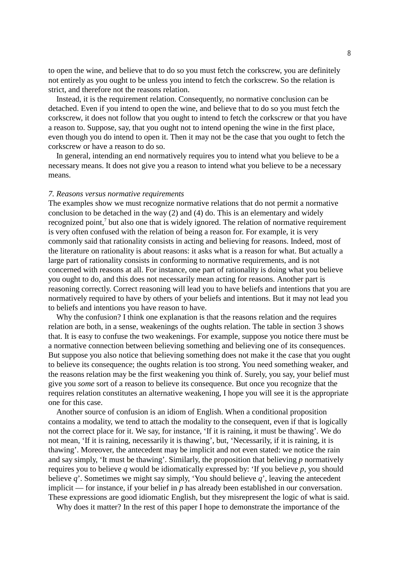to open the wine, and believe that to do so you must fetch the corkscrew, you are definitely not entirely as you ought to be unless you intend to fetch the corkscrew. So the relation is strict, and therefore not the reasons relation.

Instead, it is the requirement relation. Consequently, no normative conclusion can be detached. Even if you intend to open the wine, and believe that to do so you must fetch the corkscrew, it does not follow that you ought to intend to fetch the corkscrew or that you have a reason to. Suppose, say, that you ought not to intend opening the wine in the first place, even though you do intend to open it. Then it may not be the case that you ought to fetch the corkscrew or have a reason to do so.

In general, intending an end normatively requires you to intend what you believe to be a necessary means. It does not give you a reason to intend what you believe to be a necessary means.

#### *7. Reasons versus normative requirements*

The examples show we must recognize normative relations that do not permit a normative conclusion to be detached in the way (2) and (4) do. This is an elementary and widely recognized point,<sup>7</sup> but also one that is widely ignored. The relation of normative requirement is very often confused with the relation of being a reason for. For example, it is very commonly said that rationality consists in acting and believing for reasons. Indeed, most of the literature on rationality is about reasons: it asks what is a reason for what. But actually a large part of rationality consists in conforming to normative requirements, and is not concerned with reasons at all. For instance, one part of rationality is doing what you believe you ought to do, and this does not necessarily mean acting for reasons. Another part is reasoning correctly. Correct reasoning will lead you to have beliefs and intentions that you are normatively required to have by others of your beliefs and intentions. But it may not lead you to beliefs and intentions you have reason to have.

Why the confusion? I think one explanation is that the reasons relation and the requires relation are both, in a sense, weakenings of the oughts relation. The table in section 3 shows that. It is easy to confuse the two weakenings. For example, suppose you notice there must be a normative connection between believing something and believing one of its consequences. But suppose you also notice that believing something does not make it the case that you ought to believe its consequence; the oughts relation is too strong. You need something weaker, and the reasons relation may be the first weakening you think of. Surely, you say, your belief must give you *some* sort of a reason to believe its consequence. But once you recognize that the requires relation constitutes an alternative weakening, I hope you will see it is the appropriate one for this case.

Another source of confusion is an idiom of English. When a conditional proposition contains a modality, we tend to attach the modality to the consequent, even if that is logically not the correct place for it. We say, for instance, 'If it is raining, it must be thawing'. We do not mean, 'If it is raining, necessarily it is thawing', but, 'Necessarily, if it is raining, it is thawing'. Moreover, the antecedent may be implicit and not even stated: we notice the rain and say simply, 'It must be thawing'. Similarly, the proposition that believing *p* normatively requires you to believe *q* would be idiomatically expressed by: 'If you believe *p*, you should believe *q*'. Sometimes we might say simply, 'You should believe *q*', leaving the antecedent implicit — for instance, if your belief in *p* has already been established in our conversation. These expressions are good idiomatic English, but they misrepresent the logic of what is said.

Why does it matter? In the rest of this paper I hope to demonstrate the importance of the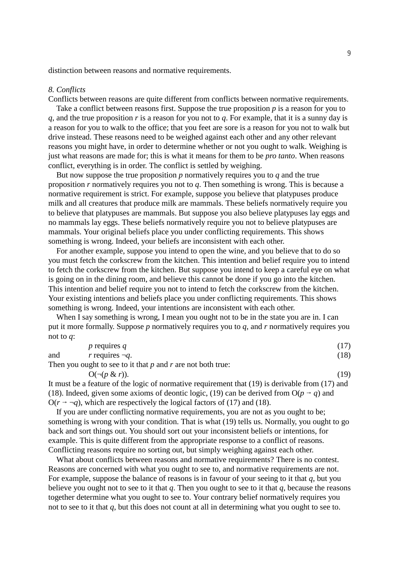distinction between reasons and normative requirements.

#### *8. Conflicts*

Conflicts between reasons are quite different from conflicts between normative requirements.

Take a conflict between reasons first. Suppose the true proposition *p* is a reason for you to *q*, and the true proposition *r* is a reason for you not to *q*. For example, that it is a sunny day is a reason for you to walk to the office; that you feet are sore is a reason for you not to walk but drive instead. These reasons need to be weighed against each other and any other relevant reasons you might have, in order to determine whether or not you ought to walk. Weighing is just what reasons are made for; this is what it means for them to be *pro tanto*. When reasons conflict, everything is in order. The conflict is settled by weighing.

But now suppose the true proposition *p* normatively requires you to *q* and the true proposition *r* normatively requires you not to *q*. Then something is wrong. This is because a normative requirement is strict. For example, suppose you believe that platypuses produce milk and all creatures that produce milk are mammals. These beliefs normatively require you to believe that platypuses are mammals. But suppose you also believe platypuses lay eggs and no mammals lay eggs. These beliefs normatively require you not to believe platypuses are mammals. Your original beliefs place you under conflicting requirements. This shows something is wrong. Indeed, your beliefs are inconsistent with each other.

For another example, suppose you intend to open the wine, and you believe that to do so you must fetch the corkscrew from the kitchen. This intention and belief require you to intend to fetch the corkscrew from the kitchen. But suppose you intend to keep a careful eye on what is going on in the dining room, and believe this cannot be done if you go into the kitchen. This intention and belief require you not to intend to fetch the corkscrew from the kitchen. Your existing intentions and beliefs place you under conflicting requirements. This shows something is wrong. Indeed, your intentions are inconsistent with each other.

When I say something is wrong, I mean you ought not to be in the state you are in. I can put it more formally. Suppose *p* normatively requires you to *q*, and *r* normatively requires you not to *q*:

|     | <i>p</i> requires <i>q</i>                                  |  |
|-----|-------------------------------------------------------------|--|
| and | r requires $\neg q$ .                                       |  |
|     | Then you ought to see to it that n and r are not both true: |  |

Then you ought to see to it that *p* and *r* are not both true:

 $O(\neg (p \& r))$ . (19)

It must be a feature of the logic of normative requirement that (19) is derivable from (17) and (18). Indeed, given some axioms of deontic logic, (19) can be derived from  $O(p \rightarrow q)$  and  $O(r \rightarrow \neg q)$ , which are respectively the logical factors of (17) and (18).

If you are under conflicting normative requirements, you are not as you ought to be; something is wrong with your condition. That is what (19) tells us. Normally, you ought to go back and sort things out. You should sort out your inconsistent beliefs or intentions, for example. This is quite different from the appropriate response to a conflict of reasons. Conflicting reasons require no sorting out, but simply weighing against each other.

What about conflicts between reasons and normative requirements? There is no contest. Reasons are concerned with what you ought to see to, and normative requirements are not. For example, suppose the balance of reasons is in favour of your seeing to it that *q*, but you believe you ought not to see to it that *q*. Then you ought to see to it that *q*, because the reasons together determine what you ought to see to. Your contrary belief normatively requires you not to see to it that *q*, but this does not count at all in determining what you ought to see to.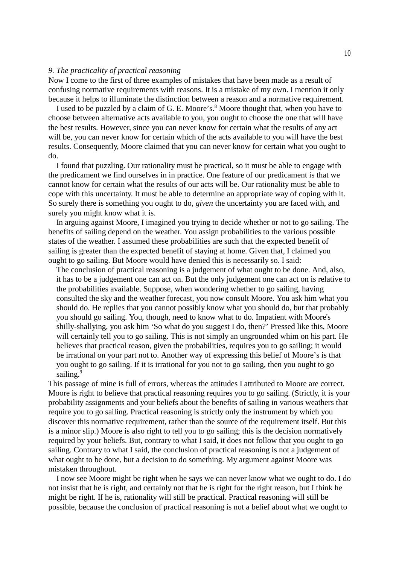# *9. The practicality of practical reasoning*

Now I come to the first of three examples of mistakes that have been made as a result of confusing normative requirements with reasons. It is a mistake of my own. I mention it only because it helps to illuminate the distinction between a reason and a normative requirement.

I used to be puzzled by a claim of G. E. Moore's.<sup>8</sup> Moore thought that, when you have to choose between alternative acts available to you, you ought to choose the one that will have the best results. However, since you can never know for certain what the results of any act will be, you can never know for certain which of the acts available to you will have the best results. Consequently, Moore claimed that you can never know for certain what you ought to do.

I found that puzzling. Our rationality must be practical, so it must be able to engage with the predicament we find ourselves in in practice. One feature of our predicament is that we cannot know for certain what the results of our acts will be. Our rationality must be able to cope with this uncertainty. It must be able to determine an appropriate way of coping with it. So surely there is something you ought to do, *given* the uncertainty you are faced with, and surely you might know what it is.

In arguing against Moore, I imagined you trying to decide whether or not to go sailing. The benefits of sailing depend on the weather. You assign probabilities to the various possible states of the weather. I assumed these probabilities are such that the expected benefit of sailing is greater than the expected benefit of staying at home. Given that, I claimed you ought to go sailing. But Moore would have denied this is necessarily so. I said:

The conclusion of practical reasoning is a judgement of what ought to be done. And, also, it has to be a judgement one can act on. But the only judgement one can act on is relative to the probabilities available. Suppose, when wondering whether to go sailing, having consulted the sky and the weather forecast, you now consult Moore. You ask him what you should do. He replies that you cannot possibly know what you should do, but that probably you should go sailing. You, though, need to know what to do. Impatient with Moore's shilly-shallying, you ask him 'So what do you suggest I do, then?' Pressed like this, Moore will certainly tell you to go sailing. This is not simply an ungrounded whim on his part. He believes that practical reason, given the probabilities, requires you to go sailing; it would be irrational on your part not to. Another way of expressing this belief of Moore's is that you ought to go sailing. If it is irrational for you not to go sailing, then you ought to go sailing.<sup>9</sup>

This passage of mine is full of errors, whereas the attitudes I attributed to Moore are correct. Moore is right to believe that practical reasoning requires you to go sailing. (Strictly, it is your probability assignments and your beliefs about the benefits of sailing in various weathers that require you to go sailing. Practical reasoning is strictly only the instrument by which you discover this normative requirement, rather than the source of the requirement itself. But this is a minor slip.) Moore is also right to tell you to go sailing; this is the decision normatively required by your beliefs. But, contrary to what I said, it does not follow that you ought to go sailing. Contrary to what I said, the conclusion of practical reasoning is not a judgement of what ought to be done, but a decision to do something. My argument against Moore was mistaken throughout.

I now see Moore might be right when he says we can never know what we ought to do. I do not insist that he is right, and certainly not that he is right for the right reason, but I think he might be right. If he is, rationality will still be practical. Practical reasoning will still be possible, because the conclusion of practical reasoning is not a belief about what we ought to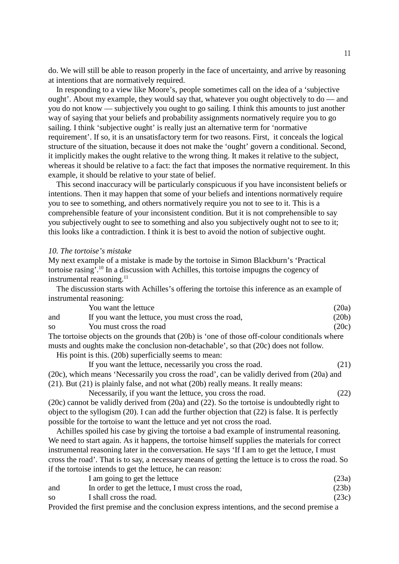do. We will still be able to reason properly in the face of uncertainty, and arrive by reasoning at intentions that are normatively required.

In responding to a view like Moore's, people sometimes call on the idea of a 'subjective ought'. About my example, they would say that, whatever you ought objectively to do — and you do not know — subjectively you ought to go sailing. I think this amounts to just another way of saying that your beliefs and probability assignments normatively require you to go sailing. I think 'subjective ought' is really just an alternative term for 'normative requirement'. If so, it is an unsatisfactory term for two reasons. First, it conceals the logical structure of the situation, because it does not make the 'ought' govern a conditional. Second, it implicitly makes the ought relative to the wrong thing. It makes it relative to the subject, whereas it should be relative to a fact: the fact that imposes the normative requirement. In this example, it should be relative to your state of belief.

This second inaccuracy will be particularly conspicuous if you have inconsistent beliefs or intentions. Then it may happen that some of your beliefs and intentions normatively require you to see to something, and others normatively require you not to see to it. This is a comprehensible feature of your inconsistent condition. But it is not comprehensible to say you subjectively ought to see to something and also you subjectively ought not to see to it; this looks like a contradiction. I think it is best to avoid the notion of subjective ought.

### *10. The tortoise's mistake*

My next example of a mistake is made by the tortoise in Simon Blackburn's 'Practical tortoise rasing'. 10 In a discussion with Achilles, this tortoise impugns the cogency of instrumental reasoning. $^{11}$ 

The discussion starts with Achilles's offering the tortoise this inference as an example of instrumental reasoning:

|                 | You want the lettuce                                                                          | (20a) |
|-----------------|-----------------------------------------------------------------------------------------------|-------|
| and             | If you want the lettuce, you must cross the road,                                             | (20b) |
| SO <sub>2</sub> | You must cross the road                                                                       | (20c) |
|                 | The tortoise objects on the grounds that (20b) is 'one of those off-colour conditionals where |       |
|                 | musts and oughts make the conclusion non-detachable', so that (20c) does not follow.          |       |
|                 | His point is this. (20b) superficially seems to mean:                                         |       |

If you want the lettuce, necessarily you cross the road. (21) (20c), which means 'Necessarily you cross the road', can be validly derived from (20a) and (21). But (21) is plainly false, and not what (20b) really means. It really means:

Necessarily, if you want the lettuce, you cross the road. (22) (20c) cannot be validly derived from (20a) and (22). So the tortoise is undoubtedly right to object to the syllogism (20). I can add the further objection that (22) is false. It is perfectly possible for the tortoise to want the lettuce and yet not cross the road.

Achilles spoiled his case by giving the tortoise a bad example of instrumental reasoning. We need to start again. As it happens, the tortoise himself supplies the materials for correct instrumental reasoning later in the conversation. He says 'If I am to get the lettuce, I must cross the road'. That is to say, a necessary means of getting the lettuce is to cross the road. So if the tortoise intends to get the lettuce, he can reason:

|        | I am going to get the lettuce                       | (23a) |
|--------|-----------------------------------------------------|-------|
| and    | In order to get the lettuce, I must cross the road, | (23b) |
| SO.    | I shall cross the road.                             | (23c) |
| $\sim$ |                                                     |       |

Provided the first premise and the conclusion express intentions, and the second premise a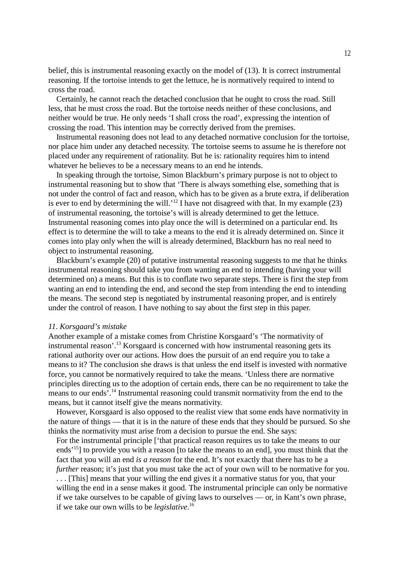belief, this is instrumental reasoning exactly on the model of (13). It is correct instrumental reasoning. If the tortoise intends to get the lettuce, he is normatively required to intend to cross the road.

Certainly, he cannot reach the detached conclusion that he ought to cross the road. Still less, that he must cross the road. But the tortoise needs neither of these conclusions, and neither would be true. He only needs 'I shall cross the road', expressing the intention of crossing the road. This intention may be correctly derived from the premises.

Instrumental reasoning does not lead to any detached normative conclusion for the tortoise, nor place him under any detached necessity. The tortoise seems to assume he is therefore not placed under any requirement of rationality. But he is: rationality requires him to intend whatever he believes to be a necessary means to an end he intends.

In speaking through the tortoise, Simon Blackburn's primary purpose is not to object to instrumental reasoning but to show that 'There is always something else, something that is not under the control of fact and reason, which has to be given as a brute extra, if deliberation is ever to end by determining the will.<sup>'12</sup> I have not disagreed with that. In my example  $(23)$ of instrumental reasoning, the tortoise's will is already determined to get the lettuce. Instrumental reasoning comes into play once the will is determined on a particular end. Its effect is to determine the will to take a means to the end it is already determined on. Since it comes into play only when the will is already determined, Blackburn has no real need to object to instrumental reasoning.

Blackburn's example (20) of putative instrumental reasoning suggests to me that he thinks instrumental reasoning should take you from wanting an end to intending (having your will determined on) a means. But this is to conflate two separate steps. There is first the step from wanting an end to intending the end, and second the step from intending the end to intending the means. The second step is negotiated by instrumental reasoning proper, and is entirely under the control of reason. I have nothing to say about the first step in this paper.

#### *11. Korsgaard's mistake*

Another example of a mistake comes from Christine Korsgaard's 'The normativity of instrumental reason'. 13 Korsgaard is concerned with how instrumental reasoning gets its rational authority over our actions. How does the pursuit of an end require you to take a means to it? The conclusion she draws is that unless the end itself is invested with normative force, you cannot be normatively required to take the means. 'Unless there are normative principles directing us to the adoption of certain ends, there can be no requirement to take the means to our ends'. 14 Instrumental reasoning could transmit normativity from the end to the means, but it cannot itself give the means normativity.

However, Korsgaard is also opposed to the realist view that some ends have normativity in the nature of things — that it is in the nature of these ends that they should be pursued. So she thinks the normativity must arise from a decision to pursue the end. She says:

For the instrumental principle ['that practical reason requires us to take the means to our ends<sup>'15</sup>] to provide you with a reason [to take the means to an end], you must think that the fact that you will an end *is a reason* for the end. It's not exactly that there has to be a *further* reason; it's just that you must take the act of your own will to be normative for you. . . . [This] means that your willing the end gives it a normative status for you, that your willing the end in a sense makes it good. The instrumental principle can only be normative if we take ourselves to be capable of giving laws to ourselves — or, in Kant's own phrase, if we take our own wills to be *legislative*. 16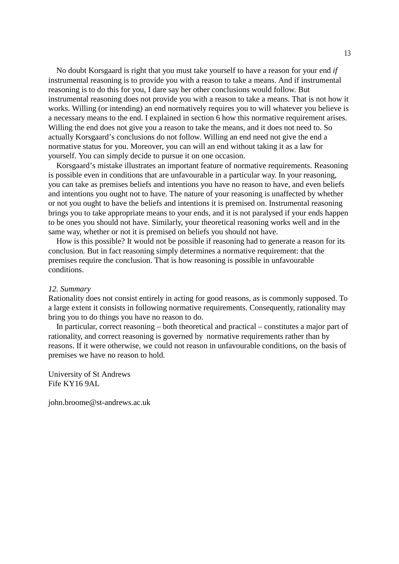No doubt Korsgaard is right that you must take yourself to have a reason for your end *if* instrumental reasoning is to provide you with a reason to take a means. And if instrumental reasoning is to do this for you, I dare say her other conclusions would follow. But instrumental reasoning does not provide you with a reason to take a means. That is not how it works. Willing (or intending) an end normatively requires you to will whatever you believe is a necessary means to the end. I explained in section 6 how this normative requirement arises. Willing the end does not give you a reason to take the means, and it does not need to. So actually Korsgaard's conclusions do not follow. Willing an end need not give the end a normative status for you. Moreover, you can will an end without taking it as a law for yourself. You can simply decide to pursue it on one occasion.

Korsgaard's mistake illustrates an important feature of normative requirements. Reasoning is possible even in conditions that are unfavourable in a particular way. In your reasoning, you can take as premises beliefs and intentions you have no reason to have, and even beliefs and intentions you ought not to have. The nature of your reasoning is unaffected by whether or not you ought to have the beliefs and intentions it is premised on. Instrumental reasoning brings you to take appropriate means to your ends, and it is not paralysed if your ends happen to be ones you should not have. Similarly, your theoretical reasoning works well and in the same way, whether or not it is premised on beliefs you should not have.

How is this possible? It would not be possible if reasoning had to generate a reason for its conclusion. But in fact reasoning simply determines a normative requirement: that the premises require the conclusion. That is how reasoning is possible in unfavourable conditions.

### *12. Summary*

Rationality does not consist entirely in acting for good reasons, as is commonly supposed. To a large extent it consists in following normative requirements. Consequently, rationality may bring you to do things you have no reason to do.

In particular, correct reasoning – both theoretical and practical – constitutes a major part of rationality, and correct reasoning is governed by normative requirements rather than by reasons. If it were otherwise, we could not reason in unfavourable conditions, on the basis of premises we have no reason to hold.

University of St Andrews Fife KY16 9AL

john.broome@st-andrews.ac.uk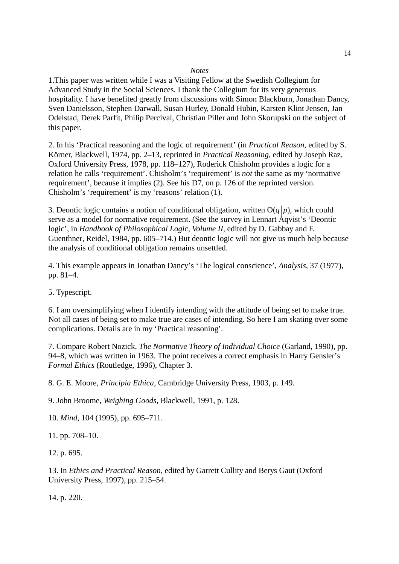# *Notes*

1.This paper was written while I was a Visiting Fellow at the Swedish Collegium for Advanced Study in the Social Sciences. I thank the Collegium for its very generous hospitality. I have benefited greatly from discussions with Simon Blackburn, Jonathan Dancy, Sven Danielsson, Stephen Darwall, Susan Hurley, Donald Hubin, Karsten Klint Jensen, Jan Odelstad, Derek Parfit, Philip Percival, Christian Piller and John Skorupski on the subject of this paper.

2. In his 'Practical reasoning and the logic of requirement' (in *Practical Reason*, edited by S. Körner, Blackwell, 1974, pp. 2–13, reprinted in *Practical Reasoning*, edited by Joseph Raz, Oxford University Press, 1978, pp. 118–127), Roderick Chisholm provides a logic for a relation he calls 'requirement'. Chisholm's 'requirement' is *not* the same as my 'normative requirement', because it implies (2). See his D7, on p. 126 of the reprinted version. Chisholm's 'requirement' is my 'reasons' relation (1).

3. Deontic logic contains a notion of conditional obligation, written  $O(a|p)$ , which could serve as a model for normative requirement. (See the survey in Lennart Åqvist's 'Deontic logic', in *Handbook of Philosophical Logic, Volume II*, edited by D. Gabbay and F. Guenthner, Reidel, 1984, pp. 605–714.) But deontic logic will not give us much help because the analysis of conditional obligation remains unsettled.

4. This example appears in Jonathan Dancy's 'The logical conscience', *Analysis*, 37 (1977), pp. 81–4.

5. Typescript.

6. I am oversimplifying when I identify intending with the attitude of being set to make true. Not all cases of being set to make true are cases of intending. So here I am skating over some complications. Details are in my 'Practical reasoning'.

7. Compare Robert Nozick, *The Normative Theory of Individual Choice* (Garland, 1990), pp. 94–8, which was written in 1963. The point receives a correct emphasis in Harry Gensler's *Formal Ethics* (Routledge, 1996), Chapter 3.

8. G. E. Moore, *Principia Ethica*, Cambridge University Press, 1903, p. 149.

9. John Broome, *Weighing Goods*, Blackwell, 1991, p. 128.

10. *Mind*, 104 (1995), pp. 695–711.

11. pp. 708–10.

12. p. 695.

13. In *Ethics and Practical Reason*, edited by Garrett Cullity and Berys Gaut (Oxford University Press, 1997), pp. 215–54.

14. p. 220.